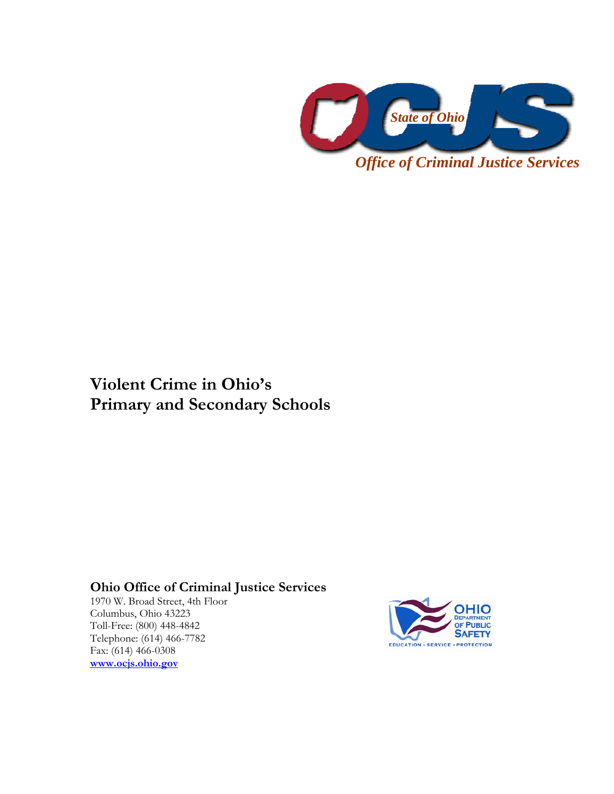

**Violent Crime in Ohio's Primary and Secondary Schools** 

**Ohio Office of Criminal Justice Services** 

1970 W. Broad Street, 4th Floor Columbus, Ohio 43223 Toll-Free: (800) 448-4842 Telephone: (614) 466-7782 Fax: (614) 466-0308 **[www.ocjs.ohio.gov](http://www.ocjs.ohio.gov/)**

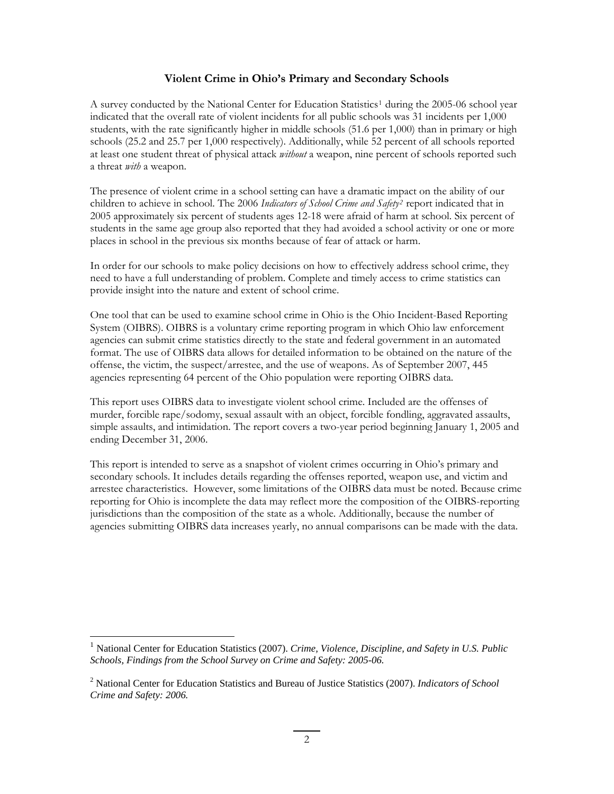# **Violent Crime in Ohio's Primary and Secondary Schools**

A survey conducted by the National Center for Education Statistics<sup>[1](#page-1-0)</sup> during the 2005-06 school year indicated that the overall rate of violent incidents for all public schools was 31 incidents per 1,000 students, with the rate significantly higher in middle schools (51.6 per 1,000) than in primary or high schools (25.2 and 25.7 per 1,000 respectively). Additionally, while 52 percent of all schools reported at least one student threat of physical attack *without* a weapon, nine percent of schools reported such a threat *with* a weapon.

The presence of violent crime in a school setting can have a dramatic impact on the ability of our children to achieve in school. The 2006 *Indicators of School Crime and Safety[2](#page-1-1)* report indicated that in 2005 approximately six percent of students ages 12-18 were afraid of harm at school. Six percent of students in the same age group also reported that they had avoided a school activity or one or more places in school in the previous six months because of fear of attack or harm.

In order for our schools to make policy decisions on how to effectively address school crime, they need to have a full understanding of problem. Complete and timely access to crime statistics can provide insight into the nature and extent of school crime.

One tool that can be used to examine school crime in Ohio is the Ohio Incident-Based Reporting System (OIBRS). OIBRS is a voluntary crime reporting program in which Ohio law enforcement agencies can submit crime statistics directly to the state and federal government in an automated format. The use of OIBRS data allows for detailed information to be obtained on the nature of the offense, the victim, the suspect/arrestee, and the use of weapons. As of September 2007, 445 agencies representing 64 percent of the Ohio population were reporting OIBRS data.

This report uses OIBRS data to investigate violent school crime. Included are the offenses of murder, forcible rape/sodomy, sexual assault with an object, forcible fondling, aggravated assaults, simple assaults, and intimidation. The report covers a two-year period beginning January 1, 2005 and ending December 31, 2006.

This report is intended to serve as a snapshot of violent crimes occurring in Ohio's primary and secondary schools. It includes details regarding the offenses reported, weapon use, and victim and arrestee characteristics. However, some limitations of the OIBRS data must be noted. Because crime reporting for Ohio is incomplete the data may reflect more the composition of the OIBRS-reporting jurisdictions than the composition of the state as a whole. Additionally, because the number of agencies submitting OIBRS data increases yearly, no annual comparisons can be made with the data.

<u>.</u>

<span id="page-1-0"></span><sup>1</sup> National Center for Education Statistics (2007). *Crime, Violence, Discipline, and Safety in U.S. Public Schools, Findings from the School Survey on Crime and Safety: 2005-06.* 

<span id="page-1-1"></span><sup>2</sup> National Center for Education Statistics and Bureau of Justice Statistics (2007). *Indicators of School Crime and Safety: 2006.*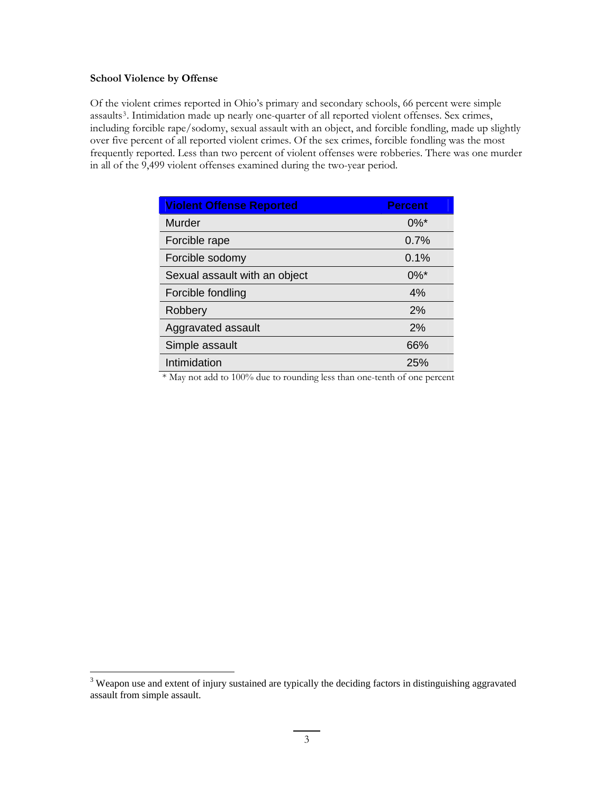## **School Violence by Offense**

Of the violent crimes reported in Ohio's primary and secondary schools, 66 percent were simple assaults<sup>[3](#page-2-0)</sup>. Intimidation made up nearly one-quarter of all reported violent offenses. Sex crimes, including forcible rape/sodomy, sexual assault with an object, and forcible fondling, made up slightly over five percent of all reported violent crimes. Of the sex crimes, forcible fondling was the most frequently reported. Less than two percent of violent offenses were robberies. There was one murder in all of the 9,499 violent offenses examined during the two-year period.

| <b>Violent Offense Reported</b> | <b>Percent</b>     |
|---------------------------------|--------------------|
| Murder                          | $0\%$ <sup>*</sup> |
| Forcible rape                   | 0.7%               |
| Forcible sodomy                 | 0.1%               |
| Sexual assault with an object   | $0\%$ <sup>*</sup> |
| Forcible fondling               | 4%                 |
| Robbery                         | 2%                 |
| Aggravated assault              | 2%                 |
| Simple assault                  | 66%                |
| Intimidation                    | 25%                |

\* May not add to 100% due to rounding less than one-tenth of one percent

<span id="page-2-0"></span><sup>&</sup>lt;sup>3</sup> Weapon use and extent of injury sustained are typically the deciding factors in distinguishing aggravated assault from simple assault.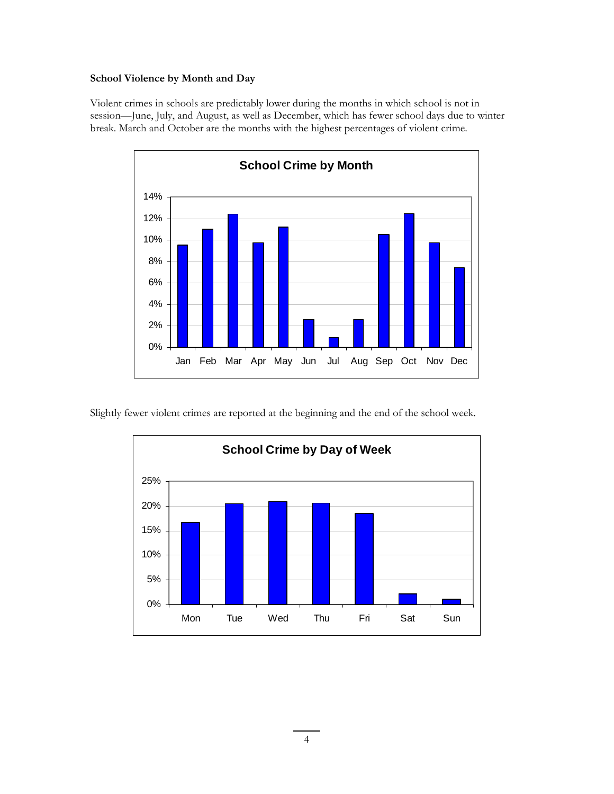## **School Violence by Month and Day**

Violent crimes in schools are predictably lower during the months in which school is not in session—June, July, and August, as well as December, which has fewer school days due to winter break. March and October are the months with the highest percentages of violent crime.



Slightly fewer violent crimes are reported at the beginning and the end of the school week.

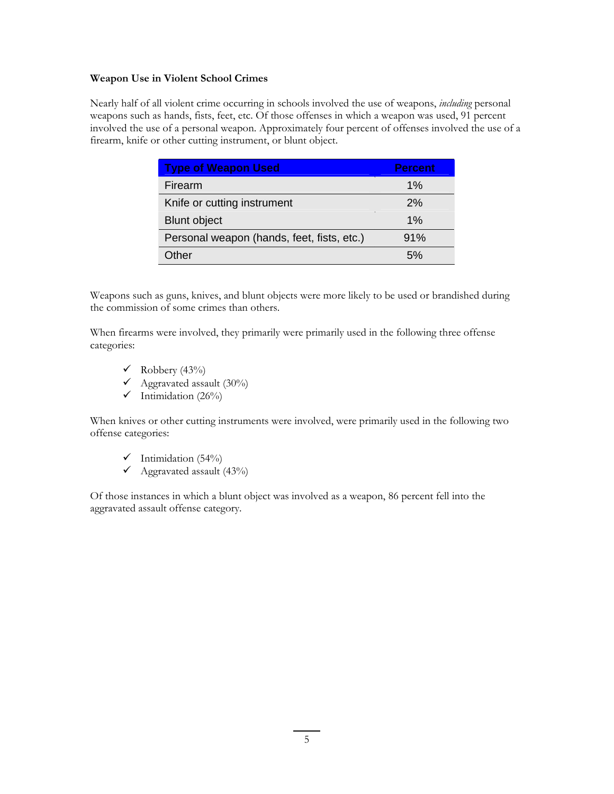## **Weapon Use in Violent School Crimes**

Nearly half of all violent crime occurring in schools involved the use of weapons, *including* personal weapons such as hands, fists, feet, etc. Of those offenses in which a weapon was used, 91 percent involved the use of a personal weapon. Approximately four percent of offenses involved the use of a firearm, knife or other cutting instrument, or blunt object.

| <b>Type of Weapon Used</b>                 | <b>Percent</b> |
|--------------------------------------------|----------------|
| Firearm                                    | $1\%$          |
| Knife or cutting instrument                | 2%             |
| <b>Blunt object</b>                        | 1%             |
| Personal weapon (hands, feet, fists, etc.) | 91%            |
| Other                                      | 5%             |

Weapons such as guns, knives, and blunt objects were more likely to be used or brandished during the commission of some crimes than others.

When firearms were involved, they primarily were primarily used in the following three offense categories:

- $\checkmark$  Robbery (43%)
- $\sqrt{\text{Aggravated}}$  assault (30%)
- $\checkmark$  Intimidation (26%)

When knives or other cutting instruments were involved, were primarily used in the following two offense categories:

- $\checkmark$  Intimidation (54%)
- $\checkmark$  Aggravated assault (43%)

Of those instances in which a blunt object was involved as a weapon, 86 percent fell into the aggravated assault offense category.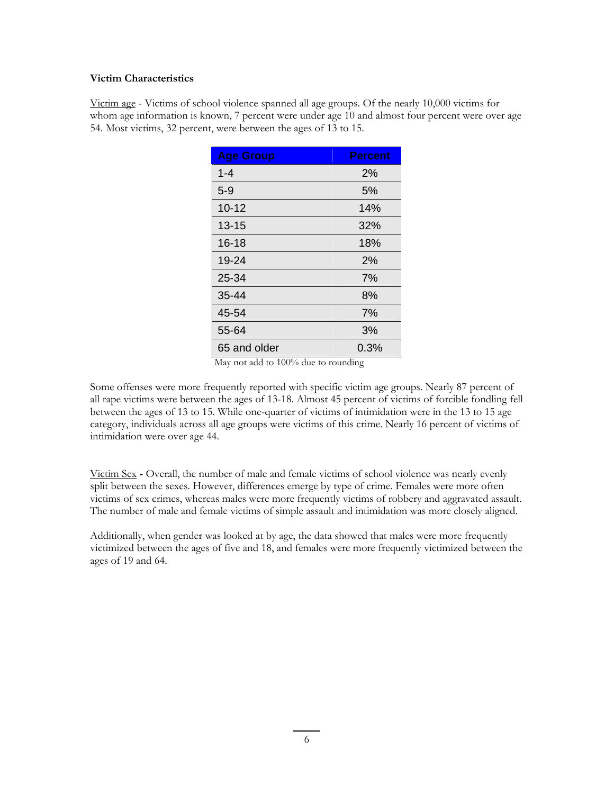## **Victim Characteristics**

Victim age - Victims of school violence spanned all age groups. Of the nearly 10,000 victims for whom age information is known, 7 percent were under age 10 and almost four percent were over age 54. Most victims, 32 percent, were between the ages of 13 to 15.

| <b>Age Group</b> | <b>Percent</b> |
|------------------|----------------|
| $1 - 4$          | 2%             |
| $5 - 9$          | 5%             |
| $10 - 12$        | 14%            |
| $13 - 15$        | 32%            |
| $16 - 18$        | 18%            |
| 19-24            | 2%             |
| 25-34            | 7%             |
| 35-44            | 8%             |
| 45-54            | 7%             |
| 55-64            | 3%             |
| 65 and older     | 0.3%           |

May not add to 100% due to rounding

Some offenses were more frequently reported with specific victim age groups. Nearly 87 percent of all rape victims were between the ages of 13-18. Almost 45 percent of victims of forcible fondling fell between the ages of 13 to 15. While one-quarter of victims of intimidation were in the 13 to 15 age category, individuals across all age groups were victims of this crime. Nearly 16 percent of victims of intimidation were over age 44.

Victim Sex **-** Overall, the number of male and female victims of school violence was nearly evenly split between the sexes. However, differences emerge by type of crime. Females were more often victims of sex crimes, whereas males were more frequently victims of robbery and aggravated assault. The number of male and female victims of simple assault and intimidation was more closely aligned.

Additionally, when gender was looked at by age, the data showed that males were more frequently victimized between the ages of five and 18, and females were more frequently victimized between the ages of 19 and 64.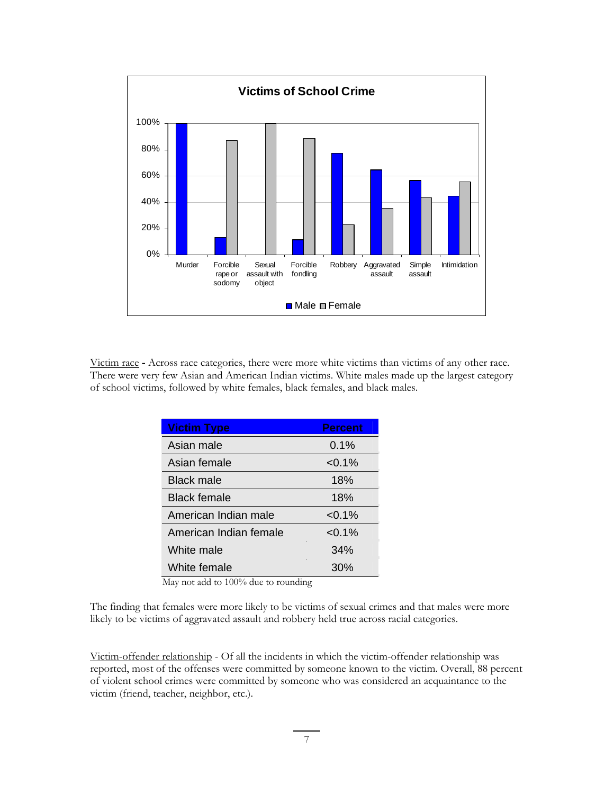

Victim race **-** Across race categories, there were more white victims than victims of any other race. There were very few Asian and American Indian victims. White males made up the largest category of school victims, followed by white females, black females, and black males.

| <b>Victim Type</b>     | <b>Percent</b> |
|------------------------|----------------|
| Asian male             | $0.1\%$        |
| Asian female           | $< 0.1\%$      |
| Black male             | 18%            |
| <b>Black female</b>    | 18%            |
| American Indian male   | $< 0.1\%$      |
| American Indian female | $< 0.1\%$      |
| White male             | 34%            |
| White female           | 30%            |

May not add to 100% due to rounding

The finding that females were more likely to be victims of sexual crimes and that males were more likely to be victims of aggravated assault and robbery held true across racial categories.

Victim-offender relationship - Of all the incidents in which the victim-offender relationship was reported, most of the offenses were committed by someone known to the victim. Overall, 88 percent of violent school crimes were committed by someone who was considered an acquaintance to the victim (friend, teacher, neighbor, etc.).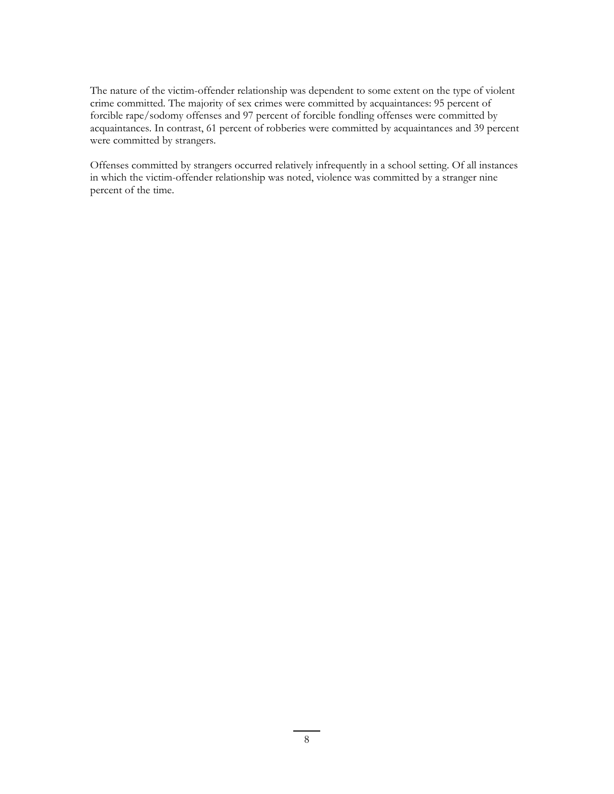The nature of the victim-offender relationship was dependent to some extent on the type of violent crime committed. The majority of sex crimes were committed by acquaintances: 95 percent of forcible rape/sodomy offenses and 97 percent of forcible fondling offenses were committed by acquaintances. In contrast, 61 percent of robberies were committed by acquaintances and 39 percent were committed by strangers.

Offenses committed by strangers occurred relatively infrequently in a school setting. Of all instances in which the victim-offender relationship was noted, violence was committed by a stranger nine percent of the time.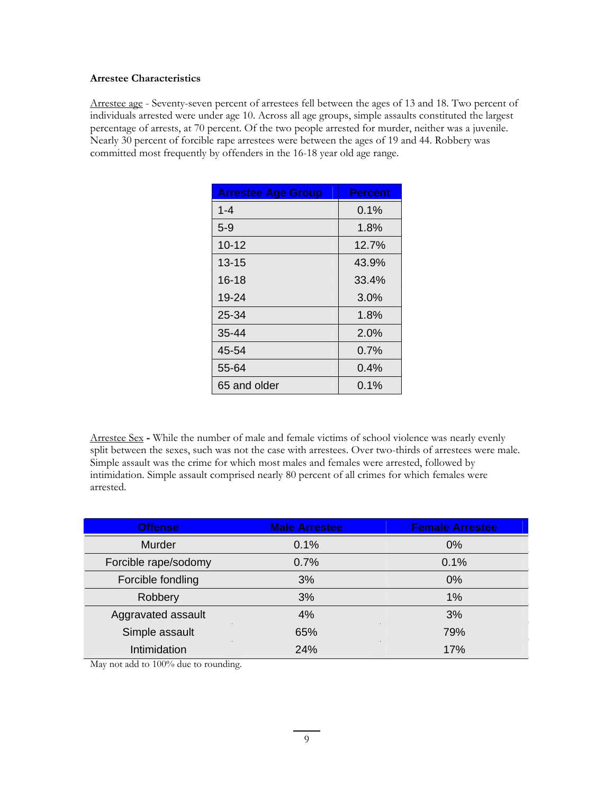## **Arrestee Characteristics**

Arrestee age - Seventy-seven percent of arrestees fell between the ages of 13 and 18. Two percent of individuals arrested were under age 10. Across all age groups, simple assaults constituted the largest percentage of arrests, at 70 percent. Of the two people arrested for murder, neither was a juvenile. Nearly 30 percent of forcible rape arrestees were between the ages of 19 and 44. Robbery was committed most frequently by offenders in the 16-18 year old age range.

| <b>Arrestee Age Group</b> | <b>Percent</b> |
|---------------------------|----------------|
| $1 - 4$                   | $0.1\%$        |
| $5-9$                     | 1.8%           |
| $10 - 12$                 | 12.7%          |
| $13 - 15$                 | 43.9%          |
| $16 - 18$                 | 33.4%          |
| 19-24                     | 3.0%           |
| 25-34                     | 1.8%           |
| 35-44                     | 2.0%           |
| 45-54                     | 0.7%           |
| 55-64                     | 0.4%           |
| 65 and older              | $0.1\%$        |

Arrestee Sex **-** While the number of male and female victims of school violence was nearly evenly split between the sexes, such was not the case with arrestees. Over two-thirds of arrestees were male. Simple assault was the crime for which most males and females were arrested, followed by intimidation. Simple assault comprised nearly 80 percent of all crimes for which females were arrested.

| <b>Offense</b>       | <b>Male Arrestee</b> | <b>Female Arrestee</b> |
|----------------------|----------------------|------------------------|
| Murder               | 0.1%                 | 0%                     |
| Forcible rape/sodomy | 0.7%                 | 0.1%                   |
| Forcible fondling    | 3%                   | $0\%$                  |
| Robbery              | 3%                   | 1%                     |
| Aggravated assault   | 4%                   | 3%                     |
| Simple assault       | 65%                  | 79%                    |
| Intimidation         | 24%                  | 17%                    |

May not add to 100% due to rounding.